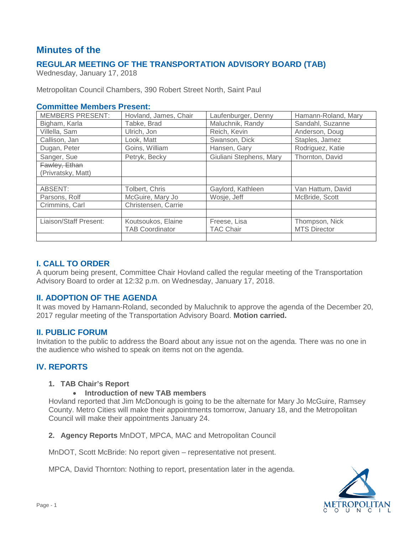# **Minutes of the**

## **REGULAR MEETING OF THE TRANSPORTATION ADVISORY BOARD (TAB)**

Wednesday, January 17, 2018

Metropolitan Council Chambers, 390 Robert Street North, Saint Paul

#### **Committee Members Present:**

| <b>MEMBERS PRESENT:</b> | Hovland, James, Chair  | Laufenburger, Denny     | Hamann-Roland, Mary |
|-------------------------|------------------------|-------------------------|---------------------|
| Bigham, Karla           | Tabke, Brad            | Maluchnik, Randy        | Sandahl, Suzanne    |
| Villella, Sam           | Ulrich, Jon            | Reich, Kevin            | Anderson, Doug      |
| Callison, Jan           | Look, Matt             | Swanson, Dick           | Staples, Jamez      |
| Dugan, Peter            | Goins, William         | Hansen, Gary            | Rodriguez, Katie    |
| Sanger, Sue             | Petryk, Becky          | Giuliani Stephens, Mary | Thornton, David     |
| Fawley, Ethan           |                        |                         |                     |
| (Privratsky, Matt)      |                        |                         |                     |
|                         |                        |                         |                     |
| ABSENT:                 | Tolbert, Chris         | Gaylord, Kathleen       | Van Hattum, David   |
| Parsons, Rolf           | McGuire, Mary Jo       | Wosje, Jeff             | McBride, Scott      |
| Crimmins, Carl          | Christensen, Carrie    |                         |                     |
|                         |                        |                         |                     |
| Liaison/Staff Present:  | Koutsoukos, Elaine     | Freese, Lisa            | Thompson, Nick      |
|                         | <b>TAB Coordinator</b> | <b>TAC Chair</b>        | <b>MTS Director</b> |
|                         |                        |                         |                     |

## **I. CALL TO ORDER**

A quorum being present, Committee Chair Hovland called the regular meeting of the Transportation Advisory Board to order at 12:32 p.m. on Wednesday, January 17, 2018.

## **II. ADOPTION OF THE AGENDA**

It was moved by Hamann-Roland, seconded by Maluchnik to approve the agenda of the December 20, 2017 regular meeting of the Transportation Advisory Board. **Motion carried.**

#### **II. PUBLIC FORUM**

Invitation to the public to address the Board about any issue not on the agenda. There was no one in the audience who wished to speak on items not on the agenda.

## **IV. REPORTS**

#### **1. TAB Chair's Report**

#### • **Introduction of new TAB members**

Hovland reported that Jim McDonough is going to be the alternate for Mary Jo McGuire, Ramsey County. Metro Cities will make their appointments tomorrow, January 18, and the Metropolitan Council will make their appointments January 24.

**2. Agency Reports** MnDOT, MPCA, MAC and Metropolitan Council

MnDOT, Scott McBride: No report given – representative not present.

MPCA, David Thornton: Nothing to report, presentation later in the agenda.

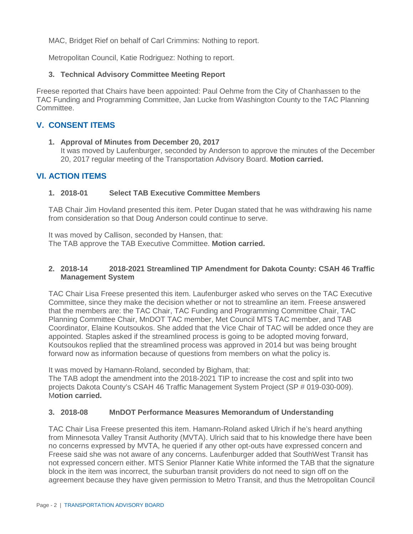MAC, Bridget Rief on behalf of Carl Crimmins: Nothing to report.

Metropolitan Council, Katie Rodriguez: Nothing to report.

## **3. Technical Advisory Committee Meeting Report**

Freese reported that Chairs have been appointed: Paul Oehme from the City of Chanhassen to the TAC Funding and Programming Committee, Jan Lucke from Washington County to the TAC Planning Committee.

## **V. CONSENT ITEMS**

#### **1. Approval of Minutes from December 20, 2017**

It was moved by Laufenburger, seconded by Anderson to approve the minutes of the December 20, 2017 regular meeting of the Transportation Advisory Board. **Motion carried.**

## **VI. ACTION ITEMS**

#### **1. 2018-01 Select TAB Executive Committee Members**

TAB Chair Jim Hovland presented this item. Peter Dugan stated that he was withdrawing his name from consideration so that Doug Anderson could continue to serve.

It was moved by Callison, seconded by Hansen, that: The TAB approve the TAB Executive Committee. **Motion carried.**

#### **2. 2018-14 2018-2021 Streamlined TIP Amendment for Dakota County: CSAH 46 Traffic Management System**

TAC Chair Lisa Freese presented this item. Laufenburger asked who serves on the TAC Executive Committee, since they make the decision whether or not to streamline an item. Freese answered that the members are: the TAC Chair, TAC Funding and Programming Committee Chair, TAC Planning Committee Chair, MnDOT TAC member, Met Council MTS TAC member, and TAB Coordinator, Elaine Koutsoukos. She added that the Vice Chair of TAC will be added once they are appointed. Staples asked if the streamlined process is going to be adopted moving forward, Koutsoukos replied that the streamlined process was approved in 2014 but was being brought forward now as information because of questions from members on what the policy is.

It was moved by Hamann-Roland, seconded by Bigham, that:

The TAB adopt the amendment into the 2018-2021 TIP to increase the cost and split into two projects Dakota County's CSAH 46 Traffic Management System Project (SP # 019-030-009). M**otion carried.**

#### **3. 2018-08 MnDOT Performance Measures Memorandum of Understanding**

TAC Chair Lisa Freese presented this item. Hamann-Roland asked Ulrich if he's heard anything from Minnesota Valley Transit Authority (MVTA). Ulrich said that to his knowledge there have been no concerns expressed by MVTA, he queried if any other opt-outs have expressed concern and Freese said she was not aware of any concerns. Laufenburger added that SouthWest Transit has not expressed concern either. MTS Senior Planner Katie White informed the TAB that the signature block in the item was incorrect, the suburban transit providers do not need to sign off on the agreement because they have given permission to Metro Transit, and thus the Metropolitan Council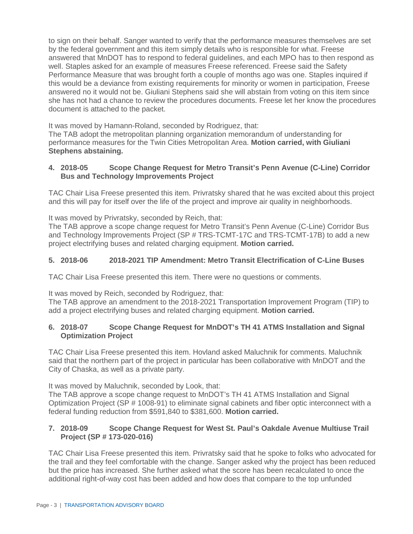to sign on their behalf. Sanger wanted to verify that the performance measures themselves are set by the federal government and this item simply details who is responsible for what. Freese answered that MnDOT has to respond to federal guidelines, and each MPO has to then respond as well. Staples asked for an example of measures Freese referenced. Freese said the Safety Performance Measure that was brought forth a couple of months ago was one. Staples inquired if this would be a deviance from existing requirements for minority or women in participation, Freese answered no it would not be. Giuliani Stephens said she will abstain from voting on this item since she has not had a chance to review the procedures documents. Freese let her know the procedures document is attached to the packet.

It was moved by Hamann-Roland, seconded by Rodriguez, that:

The TAB adopt the metropolitan planning organization memorandum of understanding for performance measures for the Twin Cities Metropolitan Area. **Motion carried, with Giuliani Stephens abstaining.**

#### **4. 2018-05 Scope Change Request for Metro Transit's Penn Avenue (C-Line) Corridor Bus and Technology Improvements Project**

TAC Chair Lisa Freese presented this item. Privratsky shared that he was excited about this project and this will pay for itself over the life of the project and improve air quality in neighborhoods.

It was moved by Privratsky, seconded by Reich, that:

The TAB approve a scope change request for Metro Transit's Penn Avenue (C-Line) Corridor Bus and Technology Improvements Project (SP # TRS-TCMT-17C and TRS-TCMT-17B) to add a new project electrifying buses and related charging equipment. **Motion carried.**

## **5. 2018-06 2018-2021 TIP Amendment: Metro Transit Electrification of C-Line Buses**

TAC Chair Lisa Freese presented this item. There were no questions or comments.

It was moved by Reich, seconded by Rodriguez, that:

The TAB approve an amendment to the 2018-2021 Transportation Improvement Program (TIP) to add a project electrifying buses and related charging equipment. **Motion carried.**

#### **6. 2018-07 Scope Change Request for MnDOT's TH 41 ATMS Installation and Signal Optimization Project**

TAC Chair Lisa Freese presented this item. Hovland asked Maluchnik for comments. Maluchnik said that the northern part of the project in particular has been collaborative with MnDOT and the City of Chaska, as well as a private party.

It was moved by Maluchnik, seconded by Look, that:

The TAB approve a scope change request to MnDOT's TH 41 ATMS Installation and Signal Optimization Project (SP # 1008-91) to eliminate signal cabinets and fiber optic interconnect with a federal funding reduction from \$591,840 to \$381,600. **Motion carried.**

#### **7. 2018-09 Scope Change Request for West St. Paul's Oakdale Avenue Multiuse Trail Project (SP # 173-020-016)**

TAC Chair Lisa Freese presented this item. Privratsky said that he spoke to folks who advocated for the trail and they feel comfortable with the change. Sanger asked why the project has been reduced but the price has increased. She further asked what the score has been recalculated to once the additional right-of-way cost has been added and how does that compare to the top unfunded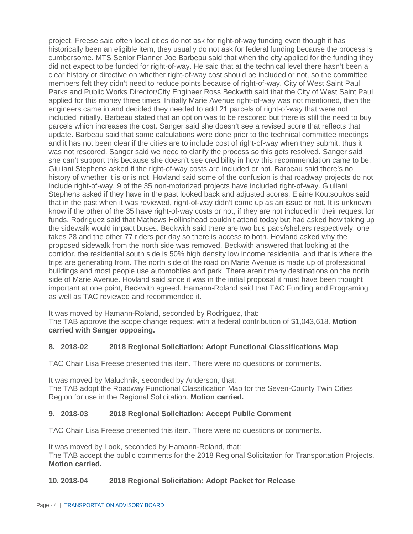project. Freese said often local cities do not ask for right-of-way funding even though it has historically been an eligible item, they usually do not ask for federal funding because the process is cumbersome. MTS Senior Planner Joe Barbeau said that when the city applied for the funding they did not expect to be funded for right-of-way. He said that at the technical level there hasn't been a clear history or directive on whether right-of-way cost should be included or not, so the committee members felt they didn't need to reduce points because of right-of-way. City of West Saint Paul Parks and Public Works Director/City Engineer Ross Beckwith said that the City of West Saint Paul applied for this money three times. Initially Marie Avenue right-of-way was not mentioned, then the engineers came in and decided they needed to add 21 parcels of right-of-way that were not included initially. Barbeau stated that an option was to be rescored but there is still the need to buy parcels which increases the cost. Sanger said she doesn't see a revised score that reflects that update. Barbeau said that some calculations were done prior to the technical committee meetings and it has not been clear if the cities are to include cost of right-of-way when they submit, thus it was not rescored. Sanger said we need to clarify the process so this gets resolved. Sanger said she can't support this because she doesn't see credibility in how this recommendation came to be. Giuliani Stephens asked if the right-of-way costs are included or not. Barbeau said there's no history of whether it is or is not. Hovland said some of the confusion is that roadway projects do not include right-of-way, 9 of the 35 non-motorized projects have included right-of-way. Giuliani Stephens asked if they have in the past looked back and adjusted scores. Elaine Koutsoukos said that in the past when it was reviewed, right-of-way didn't come up as an issue or not. It is unknown know if the other of the 35 have right-of-way costs or not, if they are not included in their request for funds. Rodriguez said that Mathews Hollinshead couldn't attend today but had asked how taking up the sidewalk would impact buses. Beckwith said there are two bus pads/shelters respectively, one takes 28 and the other 77 riders per day so there is access to both. Hovland asked why the proposed sidewalk from the north side was removed. Beckwith answered that looking at the corridor, the residential south side is 50% high density low income residential and that is where the trips are generating from. The north side of the road on Marie Avenue is made up of professional buildings and most people use automobiles and park. There aren't many destinations on the north side of Marie Avenue. Hovland said since it was in the initial proposal it must have been thought important at one point, Beckwith agreed. Hamann-Roland said that TAC Funding and Programing as well as TAC reviewed and recommended it.

It was moved by Hamann-Roland, seconded by Rodriguez, that: The TAB approve the scope change request with a federal contribution of \$1,043,618. **Motion carried with Sanger opposing.**

## **8. 2018-02 2018 Regional Solicitation: Adopt Functional Classifications Map**

TAC Chair Lisa Freese presented this item. There were no questions or comments.

It was moved by Maluchnik, seconded by Anderson, that: The TAB adopt the Roadway Functional Classification Map for the Seven-County Twin Cities Region for use in the Regional Solicitation. **Motion carried.**

#### **9. 2018-03 2018 Regional Solicitation: Accept Public Comment**

TAC Chair Lisa Freese presented this item. There were no questions or comments.

It was moved by Look, seconded by Hamann-Roland, that: The TAB accept the public comments for the 2018 Regional Solicitation for Transportation Projects. **Motion carried.**

#### **10. 2018-04 2018 Regional Solicitation: Adopt Packet for Release**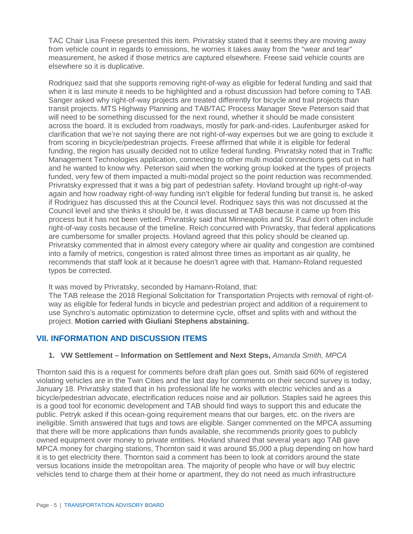TAC Chair Lisa Freese presented this item. Privratsky stated that it seems they are moving away from vehicle count in regards to emissions, he worries it takes away from the "wear and tear" measurement, he asked if those metrics are captured elsewhere. Freese said vehicle counts are elsewhere so it is duplicative.

Rodriquez said that she supports removing right-of-way as eligible for federal funding and said that when it is last minute it needs to be highlighted and a robust discussion had before coming to TAB. Sanger asked why right-of-way projects are treated differently for bicycle and trail projects than transit projects. MTS Highway Planning and TAB/TAC Process Manager Steve Peterson said that will need to be something discussed for the next round, whether it should be made consistent across the board. It is excluded from roadways, mostly for park-and-rides. Laufenburger asked for clarification that we're not saying there are not right-of-way expenses but we are going to exclude it from scoring in bicycle/pedestrian projects. Freese affirmed that while it is eligible for federal funding, the region has usually decided not to utilize federal funding. Privratsky noted that in Traffic Management Technologies application, connecting to other multi modal connections gets cut in half and he wanted to know why. Peterson said when the working group looked at the types of projects funded, very few of them impacted a multi-modal project so the point reduction was recommended. Privratsky expressed that it was a big part of pedestrian safety. Hovland brought up right-of-way again and how roadway right-of-way funding isn't eligible for federal funding but transit is, he asked if Rodriguez has discussed this at the Council level. Rodriquez says this was not discussed at the Council level and she thinks it should be, it was discussed at TAB because it came up from this process but it has not been vetted. Privratsky said that Minneapolis and St. Paul don't often include right-of-way costs because of the timeline. Reich concurred with Privratsky, that federal applications are cumbersome for smaller projects. Hovland agreed that this policy should be cleaned up. Privratsky commented that in almost every category where air quality and congestion are combined into a family of metrics, congestion is rated almost three times as important as air quality, he recommends that staff look at it because he doesn't agree with that. Hamann-Roland requested typos be corrected.

It was moved by Privratsky, seconded by Hamann-Roland, that:

The TAB release the 2018 Regional Solicitation for Transportation Projects with removal of right-ofway as eligible for federal funds in bicycle and pedestrian project and addition of a requirement to use Synchro's automatic optimization to determine cycle, offset and splits with and without the project. **Motion carried with Giuliani Stephens abstaining.**

## **VII. INFORMATION AND DISCUSSION ITEMS**

#### **1. VW Settlement – Information on Settlement and Next Steps,** *Amanda Smith, MPCA*

Thornton said this is a request for comments before draft plan goes out. Smith said 60% of registered violating vehicles are in the Twin Cities and the last day for comments on their second survey is today, January 18. Privratsky stated that in his professional life he works with electric vehicles and as a bicycle/pedestrian advocate, electrification reduces noise and air pollution. Staples said he agrees this is a good tool for economic development and TAB should find ways to support this and educate the public. Petryk asked if this ocean-going requirement means that our barges, etc. on the rivers are ineligible. Smith answered that tugs and tows are eligible. Sanger commented on the MPCA assuming that there will be more applications than funds available, she recommends priority goes to publicly owned equipment over money to private entities. Hovland shared that several years ago TAB gave MPCA money for charging stations, Thornton said it was around \$5,000 a plug depending on how hard it is to get electricity there. Thornton said a comment has been to look at corridors around the state versus locations inside the metropolitan area. The majority of people who have or will buy electric vehicles tend to charge them at their home or apartment, they do not need as much infrastructure